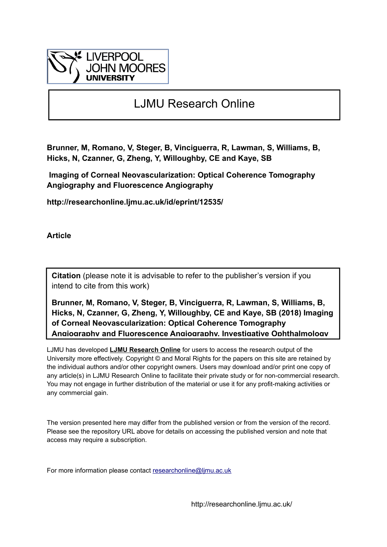

# LJMU Research Online

**Brunner, M, Romano, V, Steger, B, Vinciguerra, R, Lawman, S, Williams, B, Hicks, N, Czanner, G, Zheng, Y, Willoughby, CE and Kaye, SB**

 **Imaging of Corneal Neovascularization: Optical Coherence Tomography Angiography and Fluorescence Angiography**

**http://researchonline.ljmu.ac.uk/id/eprint/12535/**

**Article**

**Citation** (please note it is advisable to refer to the publisher's version if you intend to cite from this work)

**Brunner, M, Romano, V, Steger, B, Vinciguerra, R, Lawman, S, Williams, B, Hicks, N, Czanner, G, Zheng, Y, Willoughby, CE and Kaye, SB (2018) Imaging of Corneal Neovascularization: Optical Coherence Tomography Angiography and Fluorescence Angiography. Investigative Ophthalmology** 

LJMU has developed **[LJMU Research Online](http://researchonline.ljmu.ac.uk/)** for users to access the research output of the University more effectively. Copyright © and Moral Rights for the papers on this site are retained by the individual authors and/or other copyright owners. Users may download and/or print one copy of any article(s) in LJMU Research Online to facilitate their private study or for non-commercial research. You may not engage in further distribution of the material or use it for any profit-making activities or any commercial gain.

The version presented here may differ from the published version or from the version of the record. Please see the repository URL above for details on accessing the published version and note that access may require a subscription.

For more information please contact researchonline@limu.ac.uk

http://researchonline.ljmu.ac.uk/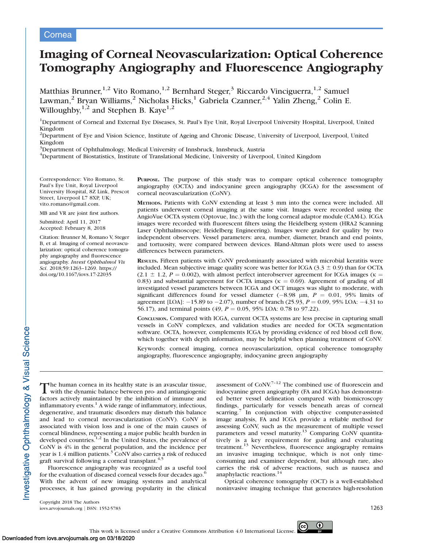## Cornea

## Imaging of Corneal Neovascularization: Optical Coherence Tomography Angiography and Fluorescence Angiography

Matthias Brunner,<sup>1,2</sup> Vito Romano,<sup>1,2</sup> Bernhard Steger,<sup>3</sup> Riccardo Vinciguerra,<sup>1,2</sup> Samuel Lawman,<sup>2</sup> Bryan Williams,<sup>2</sup> Nicholas Hicks,<sup>1</sup> Gabriela Czanner,<sup>2,4</sup> Yalin Zheng,<sup>2</sup> Colin E. Willoughby, $1,2$  and Stephen B. Kaye<sup>1,2</sup>

<sup>1</sup>Department of Corneal and External Eye Diseases, St. Paul's Eye Unit, Royal Liverpool University Hospital, Liverpool, United Kingdom

<sup>2</sup>Department of Eye and Vision Science, Institute of Ageing and Chronic Disease, University of Liverpool, Liverpool, United Kingdom

<sup>3</sup>Department of Ophthalmology, Medical University of Innsbruck, Innsbruck, Austria

<sup>4</sup>Department of Biostatistics, Institute of Translational Medicine, University of Liverpool, United Kingdom

Correspondence: Vito Romano, St. Paul's Eye Unit, Royal Liverpool University Hospital, 8Z Link, Prescot Street, Liverpool L7 8XP, UK; vito.romano@gmail.com.

MB and VR are joint first authors.

Submitted: April 11, 2017 Accepted: February 8, 2018

Citation: Brunner M, Romano V, Steger B, et al. Imaging of corneal neovascularization: optical coherence tomography angiography and fluorescence angiography. Invest Ophthalmol Vis Sci. 2018;59:1263–1269. https:// doi.org/10.1167/iovs.17-22035

PURPOSE. The purpose of this study was to compare optical coherence tomography angiography (OCTA) and indocyanine green angiography (ICGA) for the assessment of corneal neovascularization (CoNV).

METHODS. Patients with CoNV extending at least 3 mm into the cornea were included. All patients underwent corneal imaging at the same visit. Images were recorded using the AngioVue OCTA system (Optovue, Inc.) with the long corneal adaptor module (CAM-L). ICGA images were recorded with fluorescent filters using the Heidelberg system (HRA2 Scanning Laser Ophthalmoscope; Heidelberg Engineering). Images were graded for quality by two independent observers. Vessel parameters: area, number, diameter, branch and end points, and tortuosity, were compared between devices. Bland-Altman plots were used to assess differences between parameters.

RESULTS. Fifteen patients with CoNV predominantly associated with microbial keratitis were included. Mean subjective image quality score was better for ICGA (3.3  $\pm$  0.9) than for OCTA  $(2.1 \pm 1.2, P = 0.002)$ , with almost perfect interobserver agreement for ICGA images ( $\kappa$  = 0.83) and substantial agreement for OCTA images ( $\kappa = 0.69$ ). Agreement of grading of all investigated vessel parameters between ICGA and OCT images was slight to moderate, with significant differences found for vessel diameter  $(-8.98 \mu m, P = 0.01, 95\%$  limits of agreement [LOA]:  $-15.89$  to  $-2.07$ ), number of branch (25.93,  $P = 0.09$ , 95% LOA:  $-4.31$  to 56.17), and terminal points (49,  $P = 0.05$ , 95% LOA: 0.78 to 97.22).

CONCLUSION. Compared with ICGA, current OCTA systems are less precise in capturing small vessels in CoNV complexes, and validation studies are needed for OCTA segmentation software. OCTA, however, complements ICGA by providing evidence of red blood cell flow, which together with depth information, may be helpful when planning treatment of CoNV.

Keywords: corneal imaging, cornea neovascularization, optical coherence tomography angiography, fluorescence angiography, indocyanine green angiography

The human cornea in its healthy state is an avascular tissue,<br>with the dynamic balance between pro- and antiangiogenic factors actively maintained by the inhibition of immune and inflammatory events.<sup>1</sup> A wide range of inflammatory, infectious, degenerative, and traumatic disorders may disturb this balance and lead to corneal neovascularization (CoNV). CoNV is associated with vision loss and is one of the main causes of corneal blindness, representing a major public health burden in developed countries. $1,2$  In the United States, the prevalence of CoNV is 4% in the general population, and the incidence per year is  $1.4$  million patients.<sup>3</sup> CoNV also carries a risk of reduced graft survival following a corneal transplant. $4,5$ 

Fluorescence angiography was recognized as a useful tool for the evaluation of diseased corneal vessels four decades ago.<sup>6</sup> With the advent of new imaging systems and analytical processes, it has gained growing popularity in the clinical assessment of  $CONV<sup>7-12</sup>$  The combined use of fluorescein and indocyanine green angiography (FA and ICGA) has demonstrated better vessel delineation compared with biomicroscopy findings, particularly for vessels beneath areas of corneal scarring.<sup>7</sup> In conjunction with objective computer-assisted image analysis, FA and ICGA provide a reliable method for assessing CoNV, such as the measurement of multiple vessel parameters and vessel maturity.<sup>13</sup> Comparing CoNV quantitatively is a key requirement for guiding and evaluating treatment.<sup>13</sup> Nevertheless, fluorescence angiography remains an invasive imaging technique, which is not only timeconsuming and examiner dependent, but although rare, also carries the risk of adverse reactions, such as nausea and anaphylactic reactions.<sup>14</sup>

Optical coherence tomography (OCT) is a well-established noninvasive imaging technique that generates high-resolution

Copyright 2018 The Authors iovs.arvojournals.org | ISSN: 1552-5783 1263

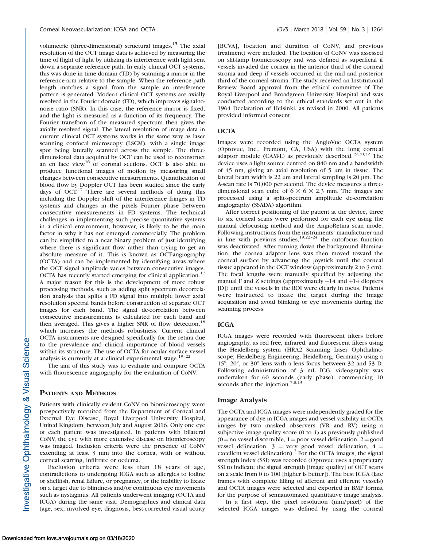volumetric (three-dimensional) structural images.<sup>15</sup> The axial resolution of the OCT image data is achieved by measuring the time of flight of light by utilizing its interference with light sent down a separate reference path. In early clinical OCT systems, this was done in time domain (TD) by scanning a mirror in the reference arm relative to the sample. When the reference path length matches a signal from the sample an interference pattern is generated. Modern clinical OCT systems are axially resolved in the Fourier domain (FD), which improves signal-tonoise ratio (SNR). In this case, the reference mirror is fixed, and the light is measured as a function of its frequency. The Fourier transform of the measured spectrum then gives the axially resolved signal. The lateral resolution of image data in current clinical OCT systems works in the same way as laser scanning confocal microscopy (LSCM), with a single image spot being laterally scanned across the sample. The threedimensional data acquired by OCT can be used to reconstruct an en face view $16$  of coronal sections. OCT is also able to produce functional images of motion by measuring small changes between consecutive measurements. Quantification of blood flow by Doppler OCT has been studied since the early days of  $OCT<sup>17</sup>$  There are several methods of doing this including the Doppler shift of the interference fringes in TD systems and changes in the pixels Fourier phase between consecutive measurements in FD systems. The technical challenges in implementing such precise quantitative systems in a clinical environment, however, is likely to be the main factor in why it has not emerged commercially. The problem can be simplified to a near binary problem of just identifying where there is significant flow rather than trying to get an absolute measure of it. This is known as OCT-angiography (OCTA) and can be implemented by identifying areas where the OCT signal amplitude varies between consecutive images. OCTA has recently started emerging for clinical application.<sup>17</sup> A major reason for this is the development of more robust processing methods, such as adding split spectrum decorrelation analysis that splits a FD signal into multiple lower axial resolution spectral bands before construction of separate OCT images for each band. The signal de-correlation between consecutive measurements is calculated for each band and then averaged. This gives a higher SNR of flow detection,<sup>18</sup> which increases the methods robustness. Current clinical OCTA instruments are designed specifically for the retina due to the prevalence and clinical importance of blood vessels within its structure. The use of OCTA for ocular surface vessel analysis is currently at a clinical experimental stage.<sup>19-22</sup>

The aim of this study was to evaluate and compare OCTA with fluorescence angiography for the evaluation of CoNV.

#### PATIENTS AND METHODS

Patients with clinically evident CoNV on biomicroscopy were prospectively recruited from the Department of Corneal and External Eye Disease, Royal Liverpool University Hospital, United Kingdom, between July and August 2016. Only one eye of each patient was investigated. In patients with bilateral CoNV, the eye with more extensive disease on biomicroscopy was imaged. Inclusion criteria were the presence of CoNV extending at least 3 mm into the cornea, with or without corneal scarring, infiltrate or oedema.

Exclusion criteria were less than 18 years of age, contradictions to undergoing ICGA such as allergies to iodine or shellfish, renal failure, or pregnancy, or the inability to fixate on a target due to blindness and/or continuous eye movements such as nystagmus. All patients underwent imaging (OCTA and ICGA) during the same visit. Demographics and clinical data (age, sex, involved eye, diagnosis, best-corrected visual acuity [BCVA], location and duration of CoNV, and previous treatment) were included. The location of CoNV was assessed on slit-lamp biomicroscopy and was defined as superficial if vessels invaded the cornea in the anterior third of the corneal stroma and deep if vessels occurred in the mid and posterior third of the corneal stroma. The study received an Institutional Review Board approval from the ethical committee of The Royal Liverpool and Broadgreen University Hospital and was conducted according to the ethical standards set out in the 1964 Declaration of Helsinki, as revised in 2000. All patients provided informed consent.

#### **OCTA**

Images were recorded using the AngioVue OCTA system (Optovue, Inc., Fremont, CA, USA) with the long corneal adaptor module (CAM-L) as previously described.19,20,22 The device uses a light source centred on 840 nm and a bandwidth of  $45$  nm, giving an axial resolution of  $5 \mu m$  in tissue. The lateral beam width is 22  $\mu$ m and lateral sampling is 20  $\mu$ m. The A-scan rate is 70,000 per second. The device measures a threedimensional scan cube of  $6 \times 6 \times 2.3$  mm. The images are processed using a split-spectrum amplitude de-correlation angiography (SSADA) algorithm.

After correct positioning of the patient at the device, three to six corneal scans were performed for each eye using the manual defocusing method and the AngioRetina scan mode. Following instructions from the instruments' manufacturer and in line with previous studies, $19,22-24$  the autofocus function was deactivated. After turning down the background illumination, the cornea adaptor lens was then moved toward the corneal surface by advancing the joystick until the corneal tissue appeared in the OCT window (approximately 2 to 3 cm). The focal lengths were manually specified by adjusting the manual F and Z settings (approximately  $-14$  and  $+14$  diopters [D]) until the vessels in the ROI were clearly in focus. Patients were instructed to fixate the target during the image acquisition and avoid blinking or eye movements during the scanning process.

### ICGA

ICGA images were recorded with fluorescent filters before angiography, as red free, infrared, and fluorescent filters using the Heidelberg system (HRA2 Scanning Laser Ophthalmoscope; Heidelberg Engineering, Heidelberg, Germany) using a  $15^{\circ}$ ,  $20^{\circ}$ , or  $30^{\circ}$  lens with a lens focus between 32 and 53 D. Following administration of 3 mL ICG, videography was undertaken for 60 seconds (early phase), commencing 10 seconds after the injection.<sup>7,8,13</sup>

#### Image Analysis

The OCTA and ICGA images were independently graded for the appearance of dye in ICGA images and vessel visibility in OCTA images by two masked observers (VR and RV) using a subjective image quality score (0 to 4) as previously published  $(0 = no$  vessel discernible,  $1 = poor$  vessel delineation,  $2 = good$ vessel delineation,  $3 = \text{very good vessel delineation}, 4 =$ excellent vessel delineation). For the OCTA images, the signal strength index (SSI) was recorded (Optovue uses a proprietary SSI to indicate the signal strength [image quality] of OCT scans on a scale from 0 to 100 [higher is better]). The best ICGA (late frames with complete filling of afferent and efferent vessels) and OCTA images were selected and exported in BMP format for the purpose of semiautomated quantitative image analysis.

In a first step, the pixel resolution (mm/pixel) of the selected ICGA images was defined by using the corneal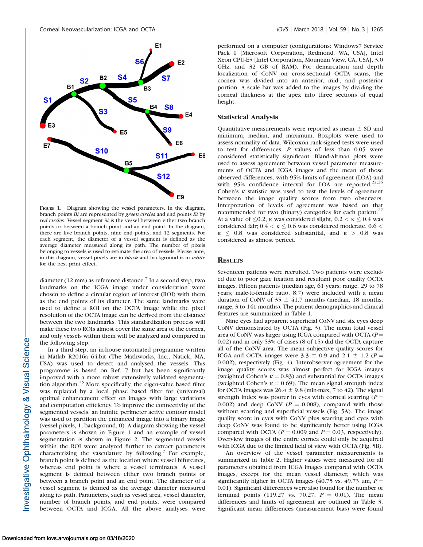

FIGURE 1. Diagram showing the vessel parameters. In the diagram, branch points Bi are represented by green circles and end points Ei by red circles. Vessel segment Si is the vessel between either two branch points or between a branch point and an end point. In the diagram, there are five branch points, nine end points, and 12 segments. For each segment, the diameter of a vessel segment is defined as the average diameter measured along its path. The number of pixels belonging to vessels is used to estimate the area of vessels. Please note, in this diagram, vessel pixels are in black and background is in white for the best print effect.

diameter (12 mm) as reference distance.<sup>7</sup> In a second step, two landmarks on the ICGA image under consideration were chosen to define a circular region of interest (ROI) with them as the end points of its diameter. The same landmarks were used to define a ROI on the OCTA image while the pixel resolution of the OCTA image can be derived from the distance between the two landmarks. This standardization process will make these two ROIs almost cover the same area of the cornea, and only vessels within them will be analyzed and compared in the following step.

In a third step, an in-house automated programme written in Matlab R2016a 64-bit (The Mathworks, Inc., Natick, MA, USA) was used to detect and analysed the vessels. This programme is based on Ref. 7 but has been significantly improved with a more robust extensively validated segmentation algorithm.<sup>25</sup> More specifically, the eigen-value based filter was replaced by a local phase based filter for (universal) optimal enhancement effect on images with large variations and computation efficiency. To improve the connectivity of the segmented vessels, an infinite perimeter active contour model was used to partition the enhanced image into a binary image (vessel pixels, 1; background, 0). A diagram showing the vessel parameters is shown in Figure 1 and an example of vessel segmentation is shown in Figure 2. The segmented vessels within the ROI were analyzed further to extract parameters characterizing the vasculature by following.<sup>7</sup> For example, branch point is defined as the location where vessel bifurcates, whereas end point is where a vessel terminates. A vessel segment is defined between either two branch points or between a branch point and an end point. The diameter of a vessel segment is defined as the average diameter measured along its path. Parameters, such as vessel area, vessel diameter, number of branch points, and end points, were compared between OCTA and ICGA. All the above analyses were

performed on a computer (configurations: Windows7 Service Pack 1 [Microsoft Corporation, Redmond, WA, USA], Intel Xeon CPU-E5 [Intel Corporation, Mountain View, CA, USA], 3.0 GHz, and 32 GB of RAM). For demarcation and depth localization of CoNV on cross-sectional OCTA scans, the cornea was divided into an anterior, mid-, and posterior portion. A scale bar was added to the images by dividing the corneal thickness at the apex into three sections of equal height.

#### Statistical Analysis

Quantitative measurements were reported as mean  $\pm$  SD and minimum, median, and maximum. Boxplots were used to assess normality of data. Wilcoxon rank-signed tests were used to test for differences.  $P$  values of less than 0.05 were considered statistically significant. Bland-Altman plots were used to assess agreement between vessel parameter measurements of OCTA and ICGA images and the mean of those observed differences, with 95% limits of agreement (LOA) and with 95% confidence interval for LOA are reported. $22,26$ Cohen's  $\kappa$  statistic was used to test the levels of agreement between the image quality scores from two observers. Interpretation of levels of agreement was based on that recommended for two (binary) categories for each patient.<sup>27</sup> At a value of  $\leq 0.2$ ,  $\kappa$  was considered slight,  $0.2 < \kappa \leq 0.4$  was considered fair;  $0.4 < \kappa \leq 0.6$  was considered moderate,  $0.6 <$  $\kappa$  < 0.8 was considered substantial, and  $\kappa$  > 0.8 was considered as almost perfect.

#### **RESULTS**

Seventeen patients were recruited. Two patients were excluded due to poor gaze fixation and resultant poor quality OCTA images. Fifteen patients (median age, 61 years; range, 29 to 78 years; male-to-female ratio, 8:7) were included with a mean duration of CoNV of  $35 \pm 41.7$  months (median, 18 months; range, 3 to 141 months). The patient demographics and clinical features are summarized in Table 1.

Nine eyes had apparent superficial CoNV and six eyes deep CoNV demonstrated by OCTA (Fig. 3). The mean total vessel area of CoNV was larger using ICGA compared with OCTA ( $P =$ 0.02) and in only 53% of cases (8 of 15) did the OCTA capture all of the CoNV area. The mean subjective quality scores for ICGA and OCTA images were  $3.3 \pm 0.9$  and  $2.1 \pm 1.2$  (P = 0.002), respectively (Fig. 4). Interobserver agreement for the image quality scores was almost perfect for ICGA images (weighted Cohen's  $\kappa = 0.83$ ) and substantial for OCTA images (weighted Cohen's  $\kappa = 0.69$ ). The mean signal strength index for OCTA images was  $26.4 \pm 9.8$  (min-max, 7 to 42). The signal strength index was poorer in eyes with corneal scarring  $(P =$ 0.002) and deep CoNV ( $P = 0.008$ ), compared with those without scarring and superficial vessels (Fig. 5A). The image quality score in eyes with CoNV plus scarring and eyes with deep CoNV was found to be significantly better using ICGA compared with OCTA ( $P = 0.009$  and  $P = 0.03$ , respectively). Overview images of the entire cornea could only be acquired with ICGA due to the limited field of view with OCTA (Fig. 5B).

An overview of the vessel parameter measurements is summarized in Table 2. Higher values were measured for all parameters obtained from ICGA images compared with OCTA images, except for the mean vessel diameter, which was significantly higher in OCTA images (40.75 vs. 49.73  $\mu$ m,  $P =$ 0.01). Significant differences were also found for the number of terminal points (119.27 vs. 70.27,  $P = 0.01$ ). The mean differences and limits of agreement are outlined in Table 3. Significant mean differences (measurement bias) were found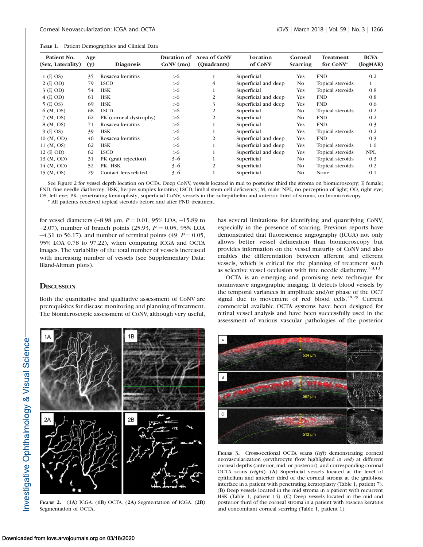| Patient No.<br>(Sex, Laterality) | Age<br>(y) | <b>Diagnosis</b>       | $CoNV$ (mo) | Duration of Area of CoNV<br>(Quadrants) | Location<br>of CoNV  | Corneal<br><b>Scarring</b> | Treatment<br>for CoNV* | <b>BCVA</b><br>(log <sub>MAP</sub> ) |
|----------------------------------|------------|------------------------|-------------|-----------------------------------------|----------------------|----------------------------|------------------------|--------------------------------------|
| 1 (F, OS)                        | 35         | Rosacea keratitis      | > 6         |                                         | Superficial          | <b>Yes</b>                 | <b>FND</b>             | 0.2                                  |
| 2 (F, OD)                        | 79         | <b>LSCD</b>            | >6          | 4                                       | Superficial and deep | No.                        | Topical steroids       | 1                                    |
| 3 (F, OD)                        | 54         | <b>HSK</b>             | > 6         | л.                                      | Superficial          | Yes                        | Topical steroids       | 0.8                                  |
| $4$ (F, OD)                      | 61         | <b>HSK</b>             | > 6         | $\overline{2}$                          | Superficial and deep | <b>Yes</b>                 | <b>FND</b>             | 0.8                                  |
| 5 (F, OS)                        | 69         | <b>HSK</b>             | >6          | 3                                       | Superficial and deep | <b>Yes</b>                 | <b>FND</b>             | 0.6                                  |
| 6 (M, OS)                        | 68         | <b>LSCD</b>            | > 6         | 2                                       | Superficial          | No.                        | Topical steroids       | 0.2                                  |
| 7 (M, OS)                        | 62         | PK (corneal dystrophy) | > 6         | 2                                       | Superficial          | No.                        | <b>FND</b>             | 0.2                                  |
| 8 (M, OS)                        | 71         | Rosacea keratitis      | > 6         |                                         | Superficial          | <b>Yes</b>                 | <b>FND</b>             | 0.3                                  |
| 9 (F, OS)                        | 39         | <b>HSK</b>             | >6          |                                         | Superficial          | <b>Yes</b>                 | Topical steroids       | 0.2                                  |
| 10 (M, OD)                       | 46         | Rosacea keratitis      | >6          | 2                                       | Superficial and deep | <b>Yes</b>                 | <b>FND</b>             | 0.3                                  |
| 11 (M, OS)                       | 62         | <b>HSK</b>             | > 6         | л.                                      | Superficial and deep | Yes                        | Topical steroids       | 1.0                                  |
| 12 (F, OD)                       | 62         | <b>LSCD</b>            | > 6         | л.                                      | Superficial and deep | <b>Yes</b>                 | Topical steroids       | <b>NPL</b>                           |
| 13 (M, OD)                       | 31         | PK (graft rejection)   | $3-6$       |                                         | Superficial          | No.                        | Topical steroids       | 0.3                                  |
| 14 (M, OD)                       | 52         | PK. HSK                | $3-6$       | $\overline{2}$                          | Superficial          | No.                        | Topical steroids       | 0.2                                  |
| 15 (M, OS)                       | 29         | Contact lens-related   | $3-6$       |                                         | Superficial          | N <sub>0</sub>             | None                   | $-0.1$                               |

TABLE 1. Patient Demographics and Clinical Data

See Figure 2 for vessel depth location on OCTA. Deep CoNV, vessels located in mid to posterior third the stroma on biomicroscopy; F, female; FND, fine needle diathermy; HSK, herpes simplex keratitis; LSCD, limbal stem cell deficiency; M, male; NPL, no perception of light; OD, right eye; OS, left eye; PK, penetrating keratoplasty; superficial CoNV, vessels in the subepithelim and anterior third of stroma, on biomicroscopy.

\* All patients received topical steroids before and after FND treatment.

for vessel diameters  $(-8.98 \text{ µm}, P = 0.01, 95\% \text{ LOA}, -15.89 \text{ to}$  $-2.07$ ), number of branch points (25.93,  $P = 0.05$ , 95% LOA  $-4.31$  to 56.17), and number of terminal points (49,  $P = 0.05$ , 95% LOA 0.78 to 97.22), when comparing ICGA and OCTA images. The variability of the total number of vessels increased with increasing number of vessels (see [Supplementary Data:](http://iovs.arvojournals.org/data/Journals/IOVS/936793/iovs-59-02-52_s01.pdf) Bland-Altman plots).

#### **DISCUSSION**

Both the quantitative and qualitative assessment of CoNV are prerequisites for disease monitoring and planning of treatment. The biomicroscopic assessment of CoNV, although very useful, has several limitations for identifying and quantifying CoNV, especially in the presence of scarring. Previous reports have demonstrated that fluorescence angiography (ICGA) not only allows better vessel delineation than biomicroscopy but provides information on the vessel maturity of CoNV and also enables the differentiation between afferent and efferent vessels, which is critical for the planning of treatment such as selective vessel occlusion with fine needle diathermy.<sup>7,8,13</sup>

OCTA is an emerging and promising new technique for noninvasive angiographic imaging. It detects blood vessels by the temporal variances in amplitude and/or phase of the OCT signal due to movement of red blood cells.<sup>28,29</sup> Current commercial available OCTA systems have been designed for retinal vessel analysis and have been successfully used in the assessment of various vascular pathologies of the posterior



FIGURE 2. (1A) ICGA. (1B) OCTA. (2A) Segmentation of ICGA. (2B) Segmentation of OCTA.



FIGURE 3. Cross-sectional OCTA scans (left) demonstrating corneal neovascularization (erythrocyte flow highlighted in red) at different corneal depths (anterior, mid, or posterior), and corresponding coronal OCTA scans (right). (A) Superficial vessels located at the level of epithelium and anterior third of the corneal stroma at the graft-host interface in a patient with penetrating keratoplasty (Table 1, patient 7). (B) Deep vessels located in the mid stroma in a patient with recurrent HSK (Table 1, patient 14). (C) Deep vessels located in the mid and posterior third of the corneal stroma in a patient with rosacea keratitis and concomitant corneal scarring (Table 1, patient 1).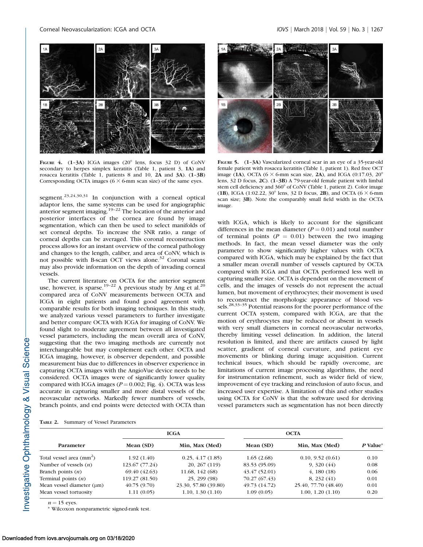

FIGURE 4.  $(1-3A)$  ICGA images  $(20^{\circ}$  lens, focus 32 D) of CoNV secondary to herpes simplex keratitis (Table 1, patient 3, 1A) and rosacea keratitis (Table 1, patients 8 and 10, 2A and 3A). (1–3B) Corresponding OCTA images ( $6 \times 6$ -mm scan size) of the same eyes.

segment.<sup>23,24,30,31</sup> In conjunction with a corneal optical adaptor lens, the same systems can be used for angiographic anterior segment imaging.19–22 The location of the anterior and posterior interfaces of the cornea are found by image segmentation, which can then be used to select manifolds of set corneal depths. To increase the SNR ratio, a range of corneal depths can be averaged. This coronal reconstruction process allows for an instant overview of the corneal pathology and changes to the length, caliber, and area of CoNV, which is not possible with B-scan OCT views alone.<sup>32</sup> Coronal scans may also provide information on the depth of invading corneal vessels.

The current literature on OCTA for the anterior segment use, however, is sparse.<sup>19-22</sup> A previous study by Ang et al.<sup>20</sup> compared area of CoNV measurements between OCTA and ICGA in eight patients and found good agreement with comparable results for both imaging techniques. In this study, we analyzed various vessel parameters to further investigate and better compare OCTA with ICGA for imaging of CoNV. We found slight to moderate agreement between all investigated vessel parameters, including the mean overall area of CoNV, suggesting that the two imaging methods are currently not interchangeable but may complement each other. OCTA and ICGA imaging, however, is observer dependent, and possible measurement bias due to differences in observer experience in capturing OCTA images with the AngioVue device needs to be considered. OCTA images were of significantly lower quality compared with ICGA images ( $P = 0.002$ ; Fig. 4). OCTA was less accurate in capturing smaller and more distal vessels of the neovascular networks. Markedly fewer numbers of vessels, branch points, and end points were detected with OCTA than



FIGURE 5. (1-3A) Vascularized corneal scar in an eye of a 35-year-old female patient with rosacea keratitis (Table 1, patient 1). Red free OCT image (1A), OCTA ( $6 \times 6$ -mm scan size, 2A), and ICGA (0:17.03, 20<sup>o</sup> lens, 32 D focus, 2C). (1–3B) A 79-year-old female patient with limbal stem cell deficiency and 360° of CoNV (Table 1, patient 2). Color image (1B), ICGA (1:02.22, 30 $^{\circ}$  lens, 32 D focus, 2B), and OCTA (6  $\times$  6-mm scan size; 3B). Note the comparably small field width in the OCTA image.

with ICGA, which is likely to account for the significant differences in the mean diameter ( $P = 0.01$ ) and total number of terminal points ( $P = 0.01$ ) between the two imaging methods. In fact, the mean vessel diameter was the only parameter to show significantly higher values with OCTA compared with ICGA, which may be explained by the fact that a smaller mean overall number of vessels captured by OCTA compared with ICGA and that OCTA performed less well in capturing smaller size. OCTA is dependent on the movement of cells, and the images of vessels do not represent the actual lumen, but movement of erythrocytes; their movement is used to reconstruct the morphologic appearance of blood vessels.<sup>28,33–35</sup> Potential reasons for the poorer performance of the current OCTA system, compared with ICGA, are that the motion of erythrocytes may be reduced or absent in vessels with very small diameters in corneal neovascular networks, thereby limiting vessel delineation. In addition, the lateral resolution is limited, and there are artifacts caused by light scatter, gradient of corneal curvature, and patient eye movements or blinking during image acquisition. Current technical issues, which should be rapidly overcome, are limitations of current image processing algorithms, the need for instrumentation refinement, such as wider field of view, improvement of eye tracking and reinclusion of auto focus, and increased user expertise. A limitation of this and other studies using OCTA for CoNV is that the software used for deriving vessel parameters such as segmentation has not been directly

TABLE 2. Summary of Vessel Parameters

|                                      |                | <b>ICGA</b>          |               |                      |          |
|--------------------------------------|----------------|----------------------|---------------|----------------------|----------|
| Parameter                            | Mean (SD)      | Min, Max (Med)       | Mean $(SD)$   | Min, Max (Med)       | P Value* |
| Total vessel area (mm <sup>2</sup> ) | 1.92(1.40)     | 0.25, 4.17(1.85)     | 1.65(2.68)    | 0.10, 9.52(0.61)     | 0.10     |
| Number of vessels $(n)$              | 123.67 (77.24) | 20, 267 (119)        | 83.53 (95.09) | 9, 320(44)           | 0.08     |
| Branch points $(n)$                  | 69.40 (42.63)  | 11.68, 142(68)       | 43.47(52.01)  | 4, 180(18)           | 0.06     |
| Terminal points $(n)$                | 119.27 (81.50) | 25, 299 (98)         | 70.27 (67.43) | 8, 232(41)           | 0.01     |
| Mean vessel diameter (µm)            | 40.75(9.70)    | 23.30, 57.80 (39.80) | 49.73 (14.72) | 25.40, 77.70 (48.40) | 0.01     |
| Mean vessel tortuosity               | 1.11(0.05)     | 1.10, 1.30 (1.10)    | 1.09(0.05)    | 1.00, 1.20 (1.10)    | 0.20     |

 $n = 15$  eyes.

\* Wilcoxon nonparametric signed-rank test.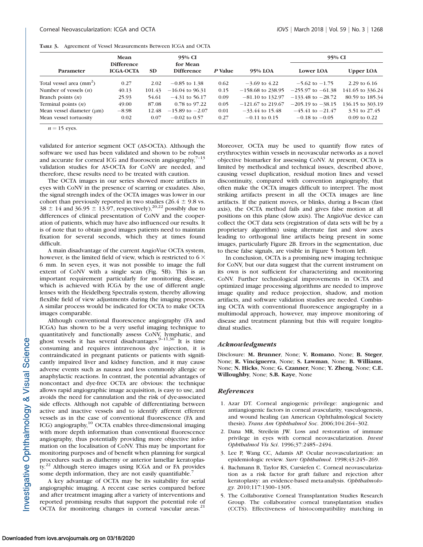|  | <b>TABLE 3.</b> Agreement of Vessel Measurements Between ICGA and OCTA |  |  |  |  |  |  |
|--|------------------------------------------------------------------------|--|--|--|--|--|--|
|--|------------------------------------------------------------------------|--|--|--|--|--|--|

|                                      | Mean                                  |           | 95% CI                        |         |                     | 95% CI                |                  |  |
|--------------------------------------|---------------------------------------|-----------|-------------------------------|---------|---------------------|-----------------------|------------------|--|
| Parameter                            | <b>Difference</b><br><b>ICGA-OCTA</b> | <b>SD</b> | for Mean<br><b>Difference</b> | P Value | 95% LOA             | <b>Lower LOA</b>      | <b>Upper LOA</b> |  |
| Total vessel area (mm <sup>2</sup> ) | 0.27                                  | 2.02      | $-0.85$ to 1.38               | 0.62    | $-3.69$ to 4.22     | $-5.62$ to $-1.75$    | 2.29 to $6.16$   |  |
| Number of vessels $(n)$              | 40.13                                 | 101.43    | $-16.04$ to 96.31             | 0.15    | $-158.68$ to 238.95 | $-255.97$ to $-61.38$ | 141.65 to 336.24 |  |
| Branch points $(n)$                  | 25.93                                 | 54.61     | $-4.31$ to 56.17              | 0.09    | $-81.10$ to 132.97  | $-133.48$ to $-28.72$ | 80.59 to 185.34  |  |
| Terminal points $(n)$                | 49.00                                 | 87.08     | 0.78 to 97.22                 | 0.05    | $-121.67$ to 219.67 | $-205.19$ to $-38.15$ | 136.15 to 303.19 |  |
| Mean vessel diameter (µm)            | $-8.98$                               | 12.48     | $-15.89$ to $-2.07$           | 0.01    | $-33.44$ to 15.48   | $-45.41$ to $-21.47$  | 3.51 to 27.45    |  |
| Mean vessel tortuosity               | 0.02                                  | 0.07      | $-0.02$ to 0.57               | 0.27    | $-0.11$ to 0.15     | $-0.18$ to $-0.05$    | $0.09$ to $0.22$ |  |

 $n = 15$  eyes.

validated for anterior segment OCT (AS-OCTA). Although the software we used has been validated and shown to be robust and accurate for corneal ICG and fluoroscein angiography, $7-13$ validation studies for AS-OCTA for CoNV are needed, and therefore, these results need to be treated with caution.

The OCTA images in our series showed more artifacts in eyes with CoNV in the presence of scarring or exudates. Also, the signal strength index of the OCTA images was lower in our cohort than previously reported in two studies (26.4  $\pm$  9.8 vs.  $38 \pm 14$  and  $36.95 \pm 13.97$ , respectively),<sup>20,22</sup> possibly due to differences of clinical presentation of CoNV and the cooperation of patients, which may have also influenced our results. It is of note that to obtain good images patients need to maintain fixation for several seconds, which they at times found difficult.

A main disadvantage of the current AngioVue OCTA system, however, is the limited field of view, which is restricted to  $6 \times$ 6 mm. In seven eyes, it was not possible to image the full extent of CoNV with a single scan (Fig. 5B). This is an important requirement particularly for monitoring disease, which is achieved with ICGA by the use of different angle lenses with the Heidelberg Spectralis system, thereby allowing flexible field of view adjustments during the imaging process. A similar process would be indicated for OCTA to make OCTA images comparable.

Although conventional fluorescence angiography (FA and ICGA) has shown to be a very useful imaging technique to quantitatively and functionally assess CoNV, lymphatic, and ghost vessels it has several disadvantages.<sup>9–11,36</sup> It is time consuming and requires intravenous dye injection, it is contraindicated in pregnant patients or patients with significantly impaired liver and kidney function, and it may cause adverse events such as nausea and less commonly allergic or anaphylactic reactions. In contrast, the potential advantages of noncontact and dye-free OCTA are obvious: the technique allows rapid angiographic image acquisition, is easy to use, and avoids the need for cannulation and the risk of dye-associated side effects. Although not capable of differentiating between active and inactive vessels and to identify afferent efferent vessels as in the case of conventional fluorescence (FA and ICG) angiography,<sup>10</sup> OCTA enables three-dimensional imaging with more depth information than conventional fluorescence angiography, thus potentially providing more objective information on the localisation of CoNV. This may be important for monitoring purposes and of benefit when planning for surgical procedures such as diathermy or anterior lamellar keratoplasty.<sup>22</sup> Although stereo images using ICGA and or FA provides some depth information, they are not easily quantifiable.

A key advantage of OCTA may be its suitability for serial angiographic imaging. A recent case series compared before and after treatment imaging after a variety of interventions and reported promising results that support the potential role of OCTA for monitoring changes in corneal vascular areas. $21$ 

Moreover, OCTA may be used to quantify flow rates of erythrocytes within vessels in neovascular networks as a novel objective biomarker for assessing CoNV. At present, OCTA is limited by methodical and technical issues, described above, causing vessel duplication, residual motion lines and vessel discontinuity, compared with convention angiography, that often make the OCTA images difficult to interpret. The most striking artifacts present in all the OCTA images are line artifacts. If the patient moves, or blinks, during a B-scan (fast axis), the OCTA method fails and gives false motion at all positions on this plane (slow axis). The AngioVue device can collect the OCT data sets (registration of data sets will be by a proprietary algorithm) using alternate fast and slow axes leading to orthogonal line artifacts being present in some images, particularly Figure 2B. Errors in the segmentation, due to these false signals, are visible in Figure 5 bottom left.

In conclusion, OCTA is a promising new imaging technique for CoNV, but our data suggest that the current instrument on its own is not sufficient for characterizing and monitoring CoNV. Further technological improvements in OCTA and optimized image processing algorithms are needed to improve image quality and reduce projection, shadow, and motion artifacts, and software validation studies are needed. Combining OCTA with conventional fluorescence angiography in a multimodal approach, however, may improve monitoring of disease and treatment planning but this will require longitudinal studies.

#### Acknowledgments

Disclosure: M. Brunner, None; V. Romano, None; B. Steger, None; R. Vinciguerra, None; S. Lawman, None; B. Williams, None; N. Hicks, None; G. Czanner, None; Y. Zheng, None; C.E. Willoughby, None; S.B. Kaye, None

#### References

- 1. Azar DT. Corneal angiogenic privilege: angiogenic and antiangiogenic factors in corneal avascularity, vasculogenesis, and wound healing (an American Ophthalmological Society thesis). Trans Am Ophthalmol Soc. 2006;104:264–302.
- 2. Dana MR, Streilein JW. Loss and restoration of immune privilege in eyes with corneal neovascularization. Invest Ophthalmol Vis Sci. 1996;37:2485–2494.
- 3. Lee P, Wang CC, Adamis AP. Ocular neovascularization: an epidemiologic review. Surv Ophthalmol. 1998;43:245–269.
- 4. Bachmann B, Taylor RS, Cursiefen C. Corneal neovascularization as a risk factor for graft failure and rejection after keratoplasty: an evidence-based meta-analysis. Ophthalmology. 2010;117:1300–1305.
- 5. The Collaborative Corneal Transplantation Studies Research Group. The collaborative corneal transplantation studies (CCTS). Effectiveness of histocompatibility matching in